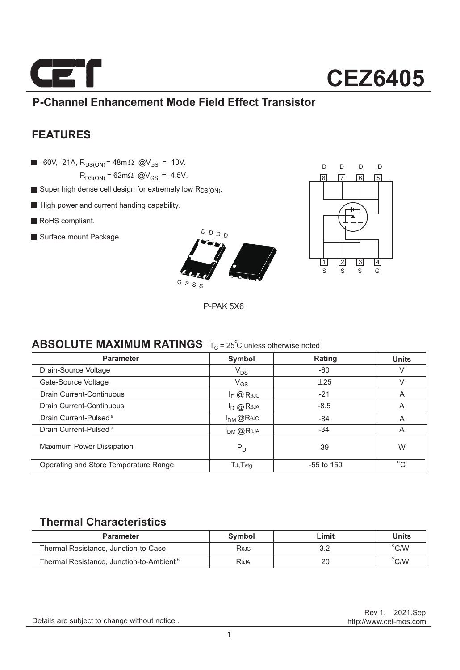

### **P-Channel Enhancement Mode Field Effect Transistor**

### **FEATURES**

 $\blacksquare$  -60V, -21A, R<sub>DS(ON)</sub> = 48m  $\Omega$  @V<sub>GS</sub> = -10V.

 $R_{DS(ON)} = 62m\Omega$  @V<sub>GS</sub> = -4.5V.

- Super high dense cell design for extremely low  $R_{DS(ON)}$ .
- High power and current handing capability.
- RoHS compliant.
- Surface mount Package.





P-PAK 5X6

### **ABSOLUTE MAXIMUM RATINGS**  $T_C = 25^\circ$ C unless otherwise noted

| <b>Parameter</b>                      | Symbol         | Rating       | <b>Units</b> |
|---------------------------------------|----------------|--------------|--------------|
| Drain-Source Voltage                  | $V_{DS}$       | -60          | V            |
| Gate-Source Voltage                   | $V_{GS}$       | ±25          | V            |
| Drain Current-Continuous              | $I_D$ @ Rejc   | $-21$        | A            |
| Drain Current-Continuous              | $I_{D}$ @ Reja | $-8.5$       | A            |
| Drain Current-Pulsed <sup>a</sup>     | $I_{DM}$ @Rejc | $-84$        | A            |
| Drain Current-Pulsed <sup>a</sup>     | $I_{DM}$ @Reja | $-34$        | A            |
| <b>Maximum Power Dissipation</b>      | $P_D$          | 39           | W            |
| Operating and Store Temperature Range | $TJ$ , $Tstg$  | $-55$ to 150 | $^{\circ}$ C |

### **Thermal Characteristics**

| <b>Parameter</b>                                     | Symbol | _imit | <b>Units</b>   |
|------------------------------------------------------|--------|-------|----------------|
| Thermal Resistance, Junction-to-Case                 | Rejc   |       | $^{\circ}$ C/W |
| Thermal Resistance, Junction-to-Ambient <sup>b</sup> | RθJA   | 20    | C/W            |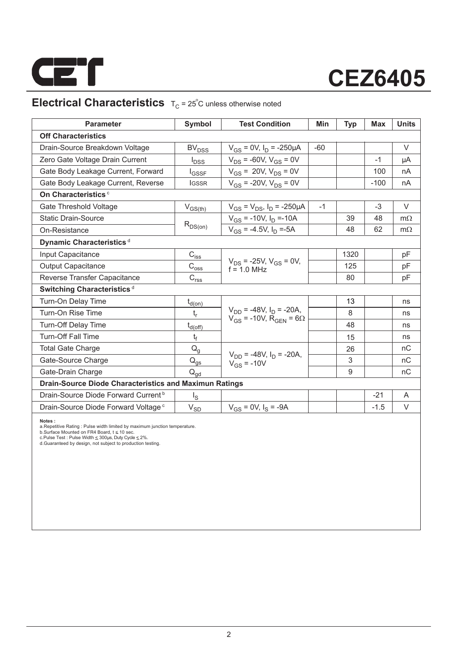

## **Electrical Characteristics**  $T_C = 25^\circ$ C unless otherwise noted

| <b>Parameter</b>                                              | Symbol                                                                | <b>Test Condition</b>                                                            | Min   | <b>Typ</b> | <b>Max</b> | <b>Units</b> |
|---------------------------------------------------------------|-----------------------------------------------------------------------|----------------------------------------------------------------------------------|-------|------------|------------|--------------|
| <b>Off Characteristics</b>                                    |                                                                       |                                                                                  |       |            |            |              |
| Drain-Source Breakdown Voltage                                | <b>BV<sub>DSS</sub></b>                                               | $V_{GS}$ = 0V, $I_D$ = -250µA                                                    | $-60$ |            |            | $\vee$       |
| Zero Gate Voltage Drain Current                               | $I_{DSS}$                                                             | $V_{DS}$ = -60V, $V_{GS}$ = 0V                                                   |       |            | $-1$       | μA           |
| Gate Body Leakage Current, Forward                            | <b>I</b> GSSF                                                         | $V_{GS}$ = 20V, $V_{DS}$ = 0V                                                    |       |            | 100        | nA           |
| Gate Body Leakage Current, Reverse                            | <b>IGSSR</b>                                                          | $V_{GS}$ = -20V, $V_{DS}$ = 0V                                                   |       |            | $-100$     | nA           |
| On Characteristics <sup>c</sup>                               |                                                                       |                                                                                  |       |            |            |              |
| Gate Threshold Voltage                                        | $V_{GS(th)}$                                                          | $V_{GS} = V_{DS}$ , $I_D = -250 \mu A$                                           | $-1$  |            | $-3$       | $\vee$       |
| <b>Static Drain-Source</b>                                    |                                                                       | $V_{GS}$ = -10V, $I_D$ =-10A                                                     |       | 39         | 48         | $m\Omega$    |
| On-Resistance                                                 | $R_{DS(on)}$                                                          | $V_{GS}$ = -4.5V, $I_D$ =-5A                                                     |       | 48         | 62         | $m\Omega$    |
| Dynamic Characteristics <sup>d</sup>                          |                                                                       |                                                                                  |       |            |            |              |
| Input Capacitance                                             | $\mathsf{C}_{\mathsf{iss}}$                                           |                                                                                  |       | 1320       |            | pF           |
| <b>Output Capacitance</b>                                     | $C_{\rm oss}$                                                         | $V_{DS}$ = -25V, $V_{GS}$ = 0V,<br>$f = 10$ MHz                                  |       | 125        |            | pF           |
| Reverse Transfer Capacitance                                  | $\mathsf{C}_{\mathsf{r}\underline{\mathsf{s}}\underline{\mathsf{s}}}$ |                                                                                  |       | 80         |            | pF           |
| Switching Characteristics <sup>d</sup>                        |                                                                       |                                                                                  |       |            |            |              |
| Turn-On Delay Time                                            | $t_{d(0n)}$                                                           |                                                                                  |       | 13         |            | ns           |
| Turn-On Rise Time                                             | $t_{r}$                                                               | $V_{DD}$ = -48V, $I_D$ = -20A,<br>$V_{GS}$ = -10V, R <sub>GEN</sub> = 6 $\Omega$ |       | 8          |            | ns           |
| <b>Turn-Off Delay Time</b>                                    | $t_{d(Off)}$                                                          |                                                                                  |       | 48         |            | ns           |
| <b>Turn-Off Fall Time</b>                                     | t                                                                     |                                                                                  |       | 15         |            | ns           |
| <b>Total Gate Charge</b>                                      | $Q_g$                                                                 |                                                                                  |       | 26         |            | nC           |
| Gate-Source Charge                                            | $Q_{\text{gs}}$                                                       | $V_{DD}$ = -48V, $I_D$ = -20A,<br>$V_{GS} = -10V$                                |       | 3          |            | nC           |
| Gate-Drain Charge                                             | $Q_{qd}$                                                              |                                                                                  |       | 9          |            | nC           |
| <b>Drain-Source Diode Characteristics and Maximun Ratings</b> |                                                                       |                                                                                  |       |            |            |              |
| Drain-Source Diode Forward Current <sup>b</sup>               | اچ                                                                    |                                                                                  |       |            | $-21$      | A            |
| Drain-Source Diode Forward Voltage <sup>c</sup>               | $\rm V_{SD}$                                                          | $V_{GS} = 0V$ , $I_S = -9A$                                                      |       |            | $-1.5$     | V            |

**Notes :**<br>a.Repetitive Rating : Pulse width limited by maximum junction temperature.<br>b.Surface Mounted on FR4 Board, t ≤ 10 sec.<br>c.Pulse Test : Pluse Width ≤ 300µs, Duty Cyde ≤ 2%.<br>d.Guaranteed by design, not subject to p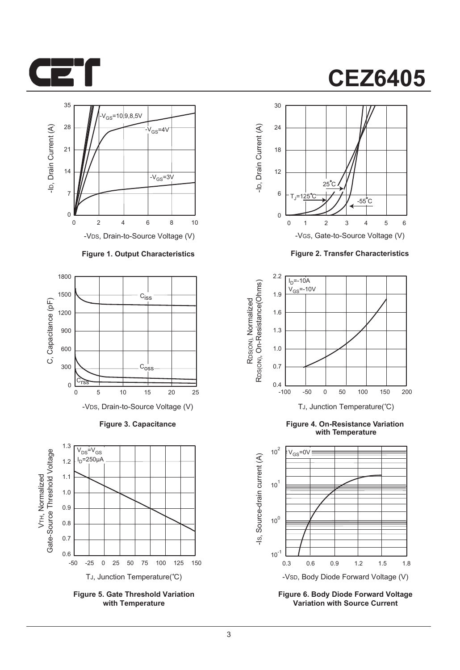



#### -VDS, Drain-to-Source Voltage (V)

#### **Figure 1. Output Characteristics**



**Figure 3. Capacitance**



**Figure 5. Gate Threshold Variation with Temperature**

## **CEZ6405**



**Figure 2. Transfer Characteristics**



**Figure 4. On-Resistance Variation with Temperature**



**Figure 6. Body Diode Forward Voltage Variation with Source Current**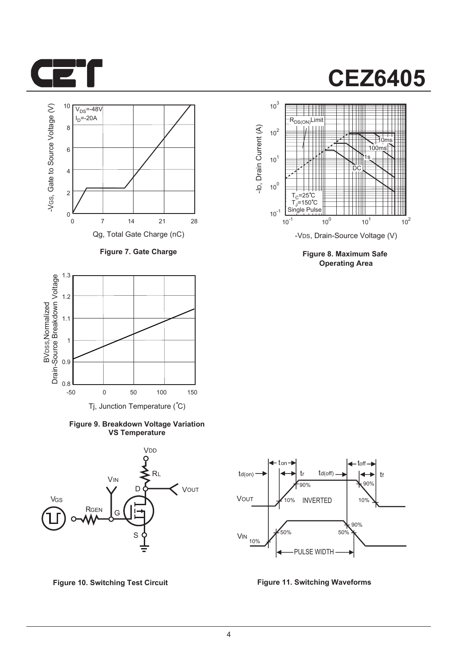



**Figure 7. Gate Charge**



**Figure 9. Breakdown Voltage Variation VS Temperature**





**Figure 8. Maximum Safe Operating Area**



**Figure 10. Switching Test Circuit Figure 11. Switching Waveforms**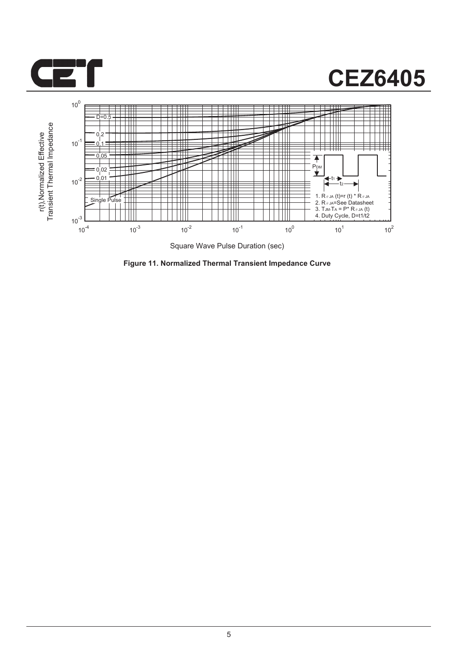



**Figure 11. Normalized Thermal Transient Impedance Curve**